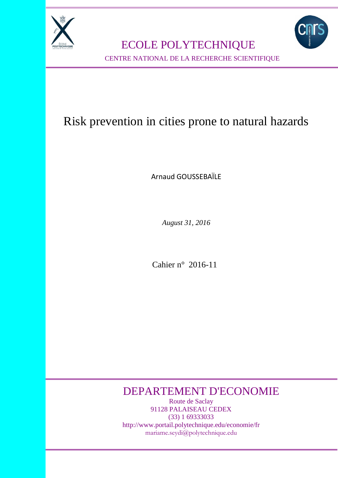

ECOLE POLYTECHNIQUE



CENTRE NATIONAL DE LA RECHERCHE SCIENTIFIQUE

# Risk prevention in cities prone to natural hazards

Arnaud GOUSSEBAÏLE

*August 31, 2016*

Cahier n° 2016-11

## DEPARTEMENT D'ECONOMIE

Route de Saclay 91128 PALAISEAU CEDEX (33) 1 69333033 http://www.portail.polytechnique.edu/economie/fr mariame.seydi@polytechnique.edu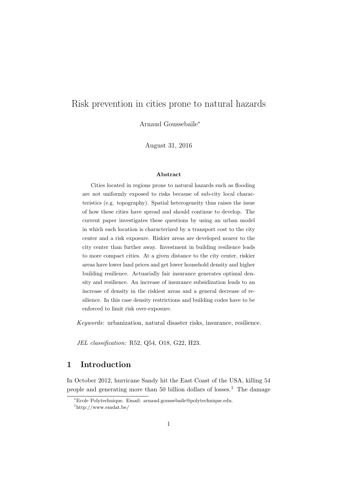## Risk prevention in cities prone to natural hazards

Arnaud Gousseba¨ıle*<sup>∗</sup>*

August 31, 2016

#### **Abstract**

Cities located in regions prone to natural hazards such as flooding are not uniformly exposed to risks because of sub-city local characteristics (e.g. topography). Spatial heterogeneity thus raises the issue of how these cities have spread and should continue to develop. The current paper investigates these questions by using an urban model in which each location is characterized by a transport cost to the city center and a risk exposure. Riskier areas are developed nearer to the city center than further away. Investment in building resilience leads to more compact cities. At a given distance to the city center, riskier areas have lower land prices and get lower household density and higher building resilience. Actuarially fair insurance generates optimal density and resilience. An increase of insurance subsidization leads to an increase of density in the riskiest areas and a general decrease of resilience. In this case density restrictions and building codes have to be enforced to limit risk over-exposure.

*Keywords*: urbanization, natural disaster risks, insurance, resilience.

*JEL classification*: R52, Q54, O18, G22, H23.

## **1 Introduction**

In October 2012, hurricane Sandy hit the East Coast of the USA, killing 54 people and generating more than 50 billion dollars of losses.<sup>1</sup> The damage

*<sup>∗</sup>*Ecole Polytechnique. Email: arnaud.goussebaile@polytechnique.edu.

<sup>1</sup>http://www.emdat.be/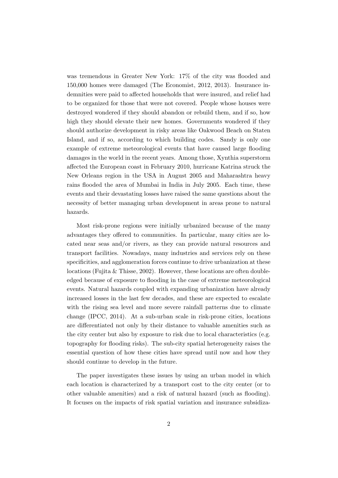was tremendous in Greater New York: 17% of the city was flooded and 150,000 homes were damaged (The Economist, 2012, 2013). Insurance indemnities were paid to affected households that were insured, and relief had to be organized for those that were not covered. People whose houses were destroyed wondered if they should abandon or rebuild them, and if so, how high they should elevate their new homes. Governments wondered if they should authorize development in risky areas like Oakwood Beach on Staten Island, and if so, according to which building codes. Sandy is only one example of extreme meteorological events that have caused large flooding damages in the world in the recent years. Among those, Xynthia superstorm affected the European coast in February 2010, hurricane Katrina struck the New Orleans region in the USA in August 2005 and Maharashtra heavy rains flooded the area of Mumbai in India in July 2005. Each time, these events and their devastating losses have raised the same questions about the necessity of better managing urban development in areas prone to natural hazards.

Most risk-prone regions were initially urbanized because of the many advantages they offered to communities. In particular, many cities are located near seas and/or rivers, as they can provide natural resources and transport facilities. Nowadays, many industries and services rely on these specificities, and agglomeration forces continue to drive urbanization at these locations (Fujita & Thisse, 2002). However, these locations are often doubleedged because of exposure to flooding in the case of extreme meteorological events. Natural hazards coupled with expanding urbanization have already increased losses in the last few decades, and these are expected to escalate with the rising sea level and more severe rainfall patterns due to climate change (IPCC, 2014). At a sub-urban scale in risk-prone cities, locations are differentiated not only by their distance to valuable amenities such as the city center but also by exposure to risk due to local characteristics (e.g. topography for flooding risks). The sub-city spatial heterogeneity raises the essential question of how these cities have spread until now and how they should continue to develop in the future.

The paper investigates these issues by using an urban model in which each location is characterized by a transport cost to the city center (or to other valuable amenities) and a risk of natural hazard (such as flooding). It focuses on the impacts of risk spatial variation and insurance subsidiza-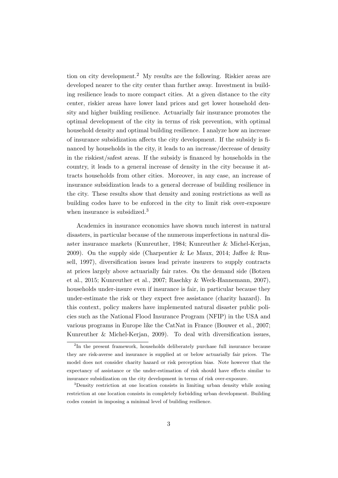tion on city development.<sup>2</sup> My results are the following. Riskier areas are developed nearer to the city center than further away. Investment in building resilience leads to more compact cities. At a given distance to the city center, riskier areas have lower land prices and get lower household density and higher building resilience. Actuarially fair insurance promotes the optimal development of the city in terms of risk prevention, with optimal household density and optimal building resilience. I analyze how an increase of insurance subsidization affects the city development. If the subsidy is financed by households in the city, it leads to an increase/decrease of density in the riskiest/safest areas. If the subsidy is financed by households in the country, it leads to a general increase of density in the city because it attracts households from other cities. Moreover, in any case, an increase of insurance subsidization leads to a general decrease of building resilience in the city. These results show that density and zoning restrictions as well as building codes have to be enforced in the city to limit risk over-exposure when insurance is subsidized.<sup>3</sup>

Academics in insurance economics have shown much interest in natural disasters, in particular because of the numerous imperfections in natural disaster insurance markets (Kunreuther, 1984; Kunreuther & Michel-Kerjan, 2009). On the supply side (Charpentier & Le Maux, 2014; Jaffee & Russell, 1997), diversification issues lead private insurers to supply contracts at prices largely above actuarially fair rates. On the demand side (Botzen et al., 2015; Kunreuther et al., 2007; Raschky & Weck-Hannemann, 2007), households under-insure even if insurance is fair, in particular because they under-estimate the risk or they expect free assistance (charity hazard). In this context, policy makers have implemented natural disaster public policies such as the National Flood Insurance Program (NFIP) in the USA and various programs in Europe like the CatNat in France (Bouwer et al., 2007; Kunreuther & Michel-Kerjan, 2009). To deal with diversification issues,

<sup>&</sup>lt;sup>2</sup>In the present framework, households deliberately purchase full insurance because they are risk-averse and insurance is supplied at or below actuarially fair prices. The model does not consider charity hazard or risk perception bias. Note however that the expectancy of assistance or the under-estimation of risk should have effects similar to insurance subsidization on the city development in terms of risk over-exposure.

<sup>3</sup>Density restriction at one location consists in limiting urban density while zoning restriction at one location consists in completely forbidding urban development. Building codes consist in imposing a minimal level of building resilience.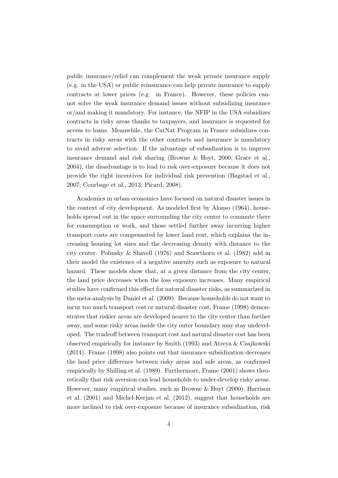public insurance/relief can complement the weak private insurance supply (e.g. in the USA) or public reinsurance can help private insurance to supply contracts at lower prices (e.g. in France). However, these policies cannot solve the weak insurance demand issues without subsidizing insurance or/and making it mandatory. For instance, the NFIP in the USA subsidizes contracts in risky areas thanks to taxpayers, and insurance is requested for access to loans. Meanwhile, the CatNat Program in France subsidizes contracts in risky areas with the other contracts and insurance is mandatory to avoid adverse selection. If the advantage of subsidization is to improve insurance demand and risk sharing (Browne & Hoyt, 2000; Grace et al., 2004), the disadvantage is to lead to risk over-exposure because it does not provide the right incentives for individual risk prevention (Bagstad et al., 2007; Courbage et al., 2013; Picard, 2008).

Academics in urban economics have focused on natural disaster issues in the context of city development. As modeled first by Alonso (1964), households spread out in the space surrounding the city center to commute there for consumption or work, and those settled further away incurring higher transport costs are compensated by lower land rent, which explains the increasing housing lot sizes and the decreasing density with distance to the city center. Polinsky & Shavell (1976) and Scawthorn et al. (1982) add in their model the existence of a negative amenity such as exposure to natural hazard. These models show that, at a given distance from the city center, the land price decreases when the loss exposure increases. Many empirical studies have confirmed this effect for natural disaster risks, as summarized in the meta-analysis by Daniel et al. (2009). Because households do not want to incur too much transport cost or natural disaster cost, Frame (1998) demonstrates that riskier areas are developed nearer to the city center than further away, and some risky areas inside the city outer boundary may stay undeveloped. The tradeoff between transport cost and natural disaster cost has been observed empirically for instance by Smith (1993) and Atreya & Czajkowski (2014). Frame (1998) also points out that insurance subsidization decreases the land price difference between risky areas and safe areas, as confirmed empirically by Shilling et al. (1989). Furthermore, Frame (2001) shows theoretically that risk aversion can lead households to under-develop risky areas. However, many empirical studies, such as Browne & Hoyt (2000), Harrison et al. (2001) and Michel-Kerjan et al. (2012), suggest that households are more inclined to risk over-exposure because of insurance subsidization, risk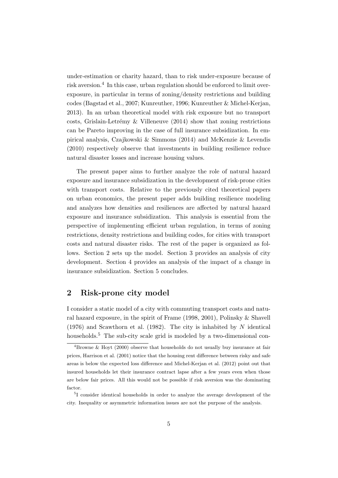under-estimation or charity hazard, than to risk under-exposure because of risk aversion.<sup>4</sup> In this case, urban regulation should be enforced to limit overexposure, in particular in terms of zoning/density restrictions and building codes (Bagstad et al., 2007; Kunreuther, 1996; Kunreuther & Michel-Kerjan, 2013). In an urban theoretical model with risk exposure but no transport costs, Grislain-Letrémy  $&$  Villeneuve (2014) show that zoning restrictions can be Pareto improving in the case of full insurance subsidization. In empirical analysis, Czajkowski & Simmons (2014) and McKenzie & Levendis (2010) respectively observe that investments in building resilience reduce natural disaster losses and increase housing values.

The present paper aims to further analyze the role of natural hazard exposure and insurance subsidization in the development of risk-prone cities with transport costs. Relative to the previously cited theoretical papers on urban economics, the present paper adds building resilience modeling and analyzes how densities and resiliences are affected by natural hazard exposure and insurance subsidization. This analysis is essential from the perspective of implementing efficient urban regulation, in terms of zoning restrictions, density restrictions and building codes, for cities with transport costs and natural disaster risks. The rest of the paper is organized as follows. Section 2 sets up the model. Section 3 provides an analysis of city development. Section 4 provides an analysis of the impact of a change in insurance subsidization. Section 5 concludes.

#### **2 Risk-prone city model**

I consider a static model of a city with commuting transport costs and natural hazard exposure, in the spirit of Frame (1998, 2001), Polinsky & Shavell (1976) and Scawthorn et al. (1982). The city is inhabited by *N* identical households.<sup>5</sup> The sub-city scale grid is modeled by a two-dimensional con-

<sup>&</sup>lt;sup>4</sup>Browne & Hovt (2000) observe that households do not usually buy insurance at fair prices, Harrison et al. (2001) notice that the housing rent difference between risky and safe areas is below the expected loss difference and Michel-Kerjan et al. (2012) point out that insured households let their insurance contract lapse after a few years even when those are below fair prices. All this would not be possible if risk aversion was the dominating factor.

<sup>5</sup> I consider identical households in order to analyze the average development of the city. Inequality or asymmetric information issues are not the purpose of the analysis.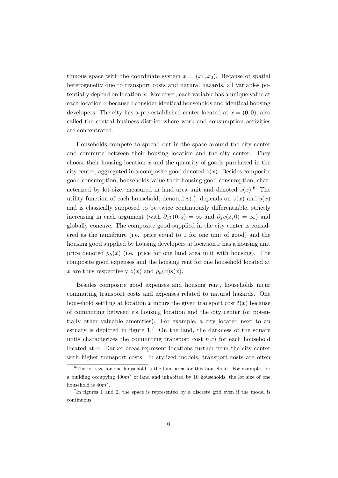tinuous space with the coordinate system  $x = (x_1, x_2)$ . Because of spatial heterogeneity due to transport costs and natural hazards, all variables potentially depend on location *x*. Moreover, each variable has a unique value at each location *x* because I consider identical households and identical housing developers. The city has a pre-established center located at  $x = (0,0)$ , also called the central business district where work and consumption activities are concentrated.

Households compete to spread out in the space around the city center and commute between their housing location and the city center. They choose their housing location *x* and the quantity of goods purchased in the city center, aggregated in a composite good denoted *z*(*x*). Besides composite good consumption, households value their housing good consumption, characterized by lot size, measured in land area unit and denoted  $s(x)$ .<sup>6</sup> The utility function of each household, denoted  $v(.)$ , depends on  $z(x)$  and  $s(x)$ and is classically supposed to be twice continuously differentiable, strictly increasing in each argument (with  $\partial_z v(0, s) = \infty$  and  $\partial_s v(z, 0) = \infty$ ) and globally concave. The composite good supplied in the city center is considered as the numéraire (i.e. price equal to 1 for one unit of good) and the housing good supplied by housing developers at location *x* has a housing unit price denoted  $p_h(x)$  (i.e. price for one land area unit with housing). The composite good expenses and the housing rent for one household located at *x* are thus respectively  $z(x)$  and  $p_h(x)s(x)$ .

Besides composite good expenses and housing rent, households incur commuting transport costs and expenses related to natural hazards. One household settling at location *x* incurs the given transport cost  $t(x)$  because of commuting between its housing location and the city center (or potentially other valuable amenities). For example, a city located next to an estuary is depicted in figure  $1<sup>7</sup>$  On the land, the darkness of the square units characterizes the commuting transport cost  $t(x)$  for each household located at *x*. Darker areas represent locations further from the city center with higher transport costs. In stylized models, transport costs are often

<sup>&</sup>lt;sup>6</sup>The lot size for one household is the land area for this household. For example, for a building occupying 400*m*<sup>2</sup> of land and inhabited by 10 households, the lot size of one household is  $40m^2$ .

<sup>&</sup>lt;sup>7</sup>In figures 1 and 2, the space is represented by a discrete grid even if the model is continuous.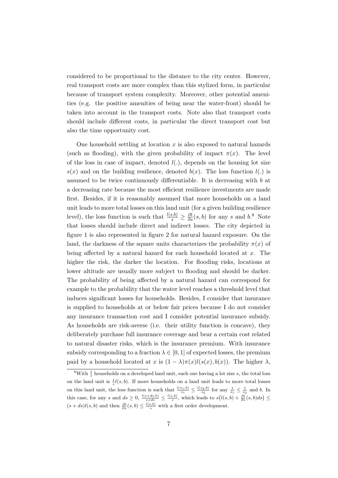considered to be proportional to the distance to the city center. However, real transport costs are more complex than this stylized form, in particular because of transport system complexity. Moreover, other potential amenities (e.g. the positive amenities of being near the water-front) should be taken into account in the transport costs. Note also that transport costs should include different costs, in particular the direct transport cost but also the time opportunity cost.

One household settling at location *x* is also exposed to natural hazards (such as flooding), with the given probability of impact  $\pi(x)$ . The level of the loss in case of impact, denoted  $l(.)$ , depends on the housing lot size  $s(x)$  and on the building resilience, denoted  $b(x)$ . The loss function  $l(.)$  is assumed to be twice continuously differentiable. It is decreasing with *b* at a decreasing rate because the most efficient resilience investments are made first. Besides, if it is reasonably assumed that more households on a land unit leads to more total losses on this land unit (for a given building resilience level), the loss function is such that  $\frac{l(s,b)}{s} \geq \frac{\partial l}{\partial s}(s,b)$  for any *s* and *b*.<sup>8</sup> Note that losses should include direct and indirect losses. The city depicted in figure 1 is also represented in figure 2 for natural hazard exposure. On the land, the darkness of the square units characterizes the probability  $\pi(x)$  of being affected by a natural hazard for each household located at *x*. The higher the risk, the darker the location. For flooding risks, locations at lower altitude are usually more subject to flooding and should be darker. The probability of being affected by a natural hazard can correspond for example to the probability that the water level reaches a threshold level that induces significant losses for households. Besides, I consider that insurance is supplied to households at or below fair prices because I do not consider any insurance transaction cost and I consider potential insurance subsidy. As households are risk-averse (i.e. their utility function is concave), they deliberately purchase full insurance coverage and bear a certain cost related to natural disaster risks, which is the insurance premium. With insurance subsidy corresponding to a fraction  $\lambda \in [0, 1]$  of expected losses, the premium paid by a household located at *x* is  $(1 - \lambda)\pi(x)l(s(x), b(x))$ . The higher  $\lambda$ ,

 $8$ With  $\frac{1}{s}$  households on a developed land unit, each one having a lot size *s*, the total loss on the land unit is  $\frac{1}{s}l(s, b)$ . If more households on a land unit leads to more total losses on this land unit, the loss function is such that  $\frac{l(s_1,b)}{s_1} \leq \frac{l(s_2,b)}{s_2}$  for any  $\frac{1}{s_1} \leq \frac{1}{s_2}$  and *b*. In this case, for any s and  $ds \geq 0$ ,  $\frac{l(s+ds,b)}{s+ds} \leq \frac{l(s,b)}{s}$ , which leads to  $s(l(s,b) + \frac{\partial l}{\partial s}(s,b)ds) \leq$  $(s + ds)l(s, b)$  and then  $\frac{\partial l}{\partial s}(s, b) \leq \frac{l(s, b)}{s}$  with a first order development.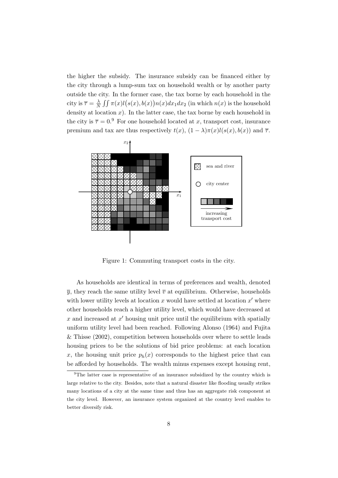the higher the subsidy. The insurance subsidy can be financed either by the city through a lump-sum tax on household wealth or by another party outside the city. In the former case, the tax borne by each household in the city is  $\overline{\tau} = \frac{\lambda}{N}$  $\frac{\lambda}{N}$   $\iint \pi(x)l(s(x),b(x))n(x)dx_1dx_2$  (in which  $n(x)$  is the household density at location  $x$ ). In the latter case, the tax borne by each household in the city is  $\overline{\tau} = 0.9$  For one household located at *x*, transport cost, insurance premium and tax are thus respectively  $t(x)$ ,  $(1 - \lambda)\pi(x)l(s(x), b(x))$  and  $\overline{\tau}$ .



Figure 1: Commuting transport costs in the city.

As households are identical in terms of preferences and wealth, denoted  $\overline{y}$ , they reach the same utility level  $\overline{v}$  at equilibrium. Otherwise, households with lower utility levels at location *x* would have settled at location *x ′* where other households reach a higher utility level, which would have decreased at *x* and increased at *x ′* housing unit price until the equilibrium with spatially uniform utility level had been reached. Following Alonso (1964) and Fujita & Thisse (2002), competition between households over where to settle leads housing prices to be the solutions of bid price problems: at each location *x*, the housing unit price  $p_h(x)$  corresponds to the highest price that can be afforded by households. The wealth minus expenses except housing rent,

 $9^9$ The latter case is representative of an insurance subsidized by the country which is large relative to the city. Besides, note that a natural disaster like flooding usually strikes many locations of a city at the same time and thus has an aggregate risk component at the city level. However, an insurance system organized at the country level enables to better diversify risk.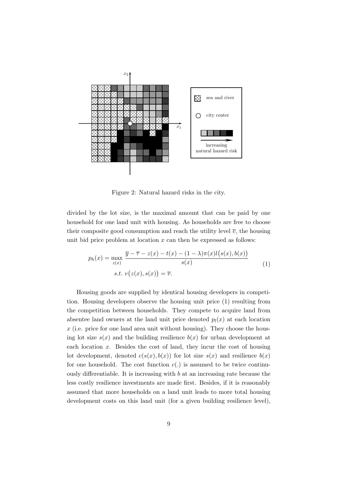

Figure 2: Natural hazard risks in the city.

divided by the lot size, is the maximal amount that can be paid by one household for one land unit with housing. As households are free to choose their composite good consumption and reach the utility level  $\overline{v}$ , the housing unit bid price problem at location *x* can then be expressed as follows:

$$
p_h(x) = \max_{z(x)} \frac{\overline{y} - \overline{\tau} - z(x) - t(x) - (1 - \lambda)\pi(x)l(s(x), b(x))}{s(x)}
$$
  
s.t.  $v(z(x), s(x)) = \overline{v}$ . (1)

Housing goods are supplied by identical housing developers in competition. Housing developers observe the housing unit price (1) resulting from the competition between households. They compete to acquire land from absentee land owners at the land unit price denoted  $p_l(x)$  at each location *x* (i.e. price for one land area unit without housing). They choose the housing lot size  $s(x)$  and the building resilience  $b(x)$  for urban development at each location *x*. Besides the cost of land, they incur the cost of housing lot development, denoted  $c(s(x), b(x))$  for lot size  $s(x)$  and resilience  $b(x)$ for one household. The cost function  $c(.)$  is assumed to be twice continuously differentiable. It is increasing with *b* at an increasing rate because the less costly resilience investments are made first. Besides, if it is reasonably assumed that more households on a land unit leads to more total housing development costs on this land unit (for a given building resilience level),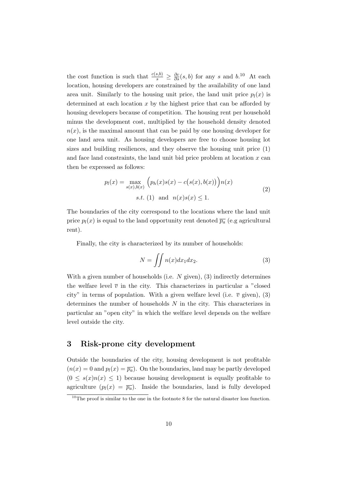the cost function is such that  $\frac{c(s,b)}{s} \geq \frac{\partial c}{\partial s}(s,b)$  for any *s* and *b*.<sup>10</sup> At each location, housing developers are constrained by the availability of one land area unit. Similarly to the housing unit price, the land unit price  $p_l(x)$  is determined at each location *x* by the highest price that can be afforded by housing developers because of competition. The housing rent per household minus the development cost, multiplied by the household density denoted  $n(x)$ , is the maximal amount that can be paid by one housing developer for one land area unit. As housing developers are free to choose housing lot sizes and building resiliences, and they observe the housing unit price (1) and face land constraints, the land unit bid price problem at location *x* can then be expressed as follows:

$$
p_l(x) = \max_{s(x), b(x)} \left( p_h(x)s(x) - c(s(x), b(x)) \right) n(x)
$$
  
s.t. (1) and  $n(x)s(x) \le 1$ . (2)

The boundaries of the city correspond to the locations where the land unit price  $p_l(x)$  is equal to the land opportunity rent denoted  $\overline{p_a}$  (e.g agricultural rent).

Finally, the city is characterized by its number of households:

$$
N = \iint n(x)dx_1 dx_2.
$$
 (3)

With a given number of households (i.e. *N* given), (3) indirectly determines the welfare level  $\bar{v}$  in the city. This characterizes in particular a "closed" city" in terms of population. With a given welfare level (i.e.  $\bar{v}$  given), (3) determines the number of households *N* in the city. This characterizes in particular an "open city" in which the welfare level depends on the welfare level outside the city.

#### **3 Risk-prone city development**

Outside the boundaries of the city, housing development is not profitable  $(n(x) = 0$  and  $p_l(x) = \overline{p_a}$ . On the boundaries, land may be partly developed  $(0 \leq s(x)n(x) \leq 1)$  because housing development is equally profitable to agriculture  $(p_l(x) = \overline{p_a})$ . Inside the boundaries, land is fully developed

 $10$ The proof is similar to the one in the footnote 8 for the natural disaster loss function.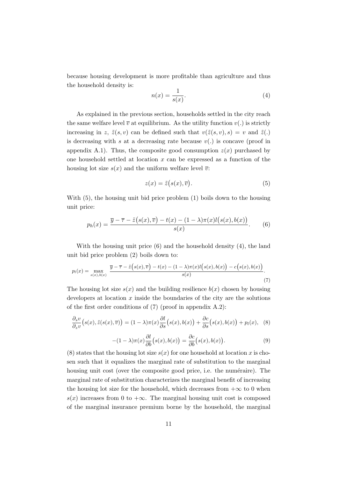because housing development is more profitable than agriculture and thus the household density is:

$$
n(x) = \frac{1}{s(x)}.\tag{4}
$$

As explained in the previous section, households settled in the city reach the same welfare level  $\overline{v}$  at equilibrium. As the utility function  $v(.)$  is strictly increasing in *z*,  $\tilde{z}(s, v)$  can be defined such that  $v(\tilde{z}(s, v), s) = v$  and  $\tilde{z}(s, t)$ is decreasing with *s* at a decreasing rate because  $v(.)$  is concave (proof in appendix A.1). Thus, the composite good consumption  $z(x)$  purchased by one household settled at location *x* can be expressed as a function of the housing lot size  $s(x)$  and the uniform welfare level  $\overline{v}$ :

$$
z(x) = \tilde{z}(s(x), \overline{v}).
$$
\n(5)

With (5), the housing unit bid price problem (1) boils down to the housing unit price:

$$
p_h(x) = \frac{\overline{y} - \overline{\tau} - \tilde{z}(s(x), \overline{v}) - t(x) - (1 - \lambda)\pi(x)l(s(x), b(x))}{s(x)}.
$$
 (6)

With the housing unit price (6) and the household density (4), the land unit bid price problem (2) boils down to:

$$
p_l(x) = \max_{s(x),b(x)} \frac{\overline{y} - \overline{\tau} - \tilde{z}\left(s(x), \overline{v}\right) - t(x) - (1 - \lambda)\pi(x)l\left(s(x), b(x)\right) - c\left(s(x), b(x)\right)}{s(x)}.
$$
\n(7)

The housing lot size  $s(x)$  and the building resilience  $b(x)$  chosen by housing developers at location *x* inside the boundaries of the city are the solutions of the first order conditions of (7) (proof in appendix A.2):

$$
\frac{\partial_s v}{\partial_z v}\big(s(x), \tilde{z}(s(x), \overline{v})\big) = (1 - \lambda)\pi(x)\frac{\partial l}{\partial s}\big(s(x), b(x)\big) + \frac{\partial c}{\partial s}\big(s(x), b(x)\big) + p_l(x), \quad (8)
$$

$$
-(1 - \lambda)\pi(x)\frac{\partial l}{\partial b}(s(x), b(x)) = \frac{\partial c}{\partial b}(s(x), b(x)).
$$
\n(9)

(8) states that the housing lot size  $s(x)$  for one household at location x is chosen such that it equalizes the marginal rate of substitution to the marginal housing unit cost (over the composite good price, i.e. the numéraire). The marginal rate of substitution characterizes the marginal benefit of increasing the housing lot size for the household, which decreases from  $+\infty$  to 0 when  $s(x)$  increases from 0 to  $+\infty$ . The marginal housing unit cost is composed of the marginal insurance premium borne by the household, the marginal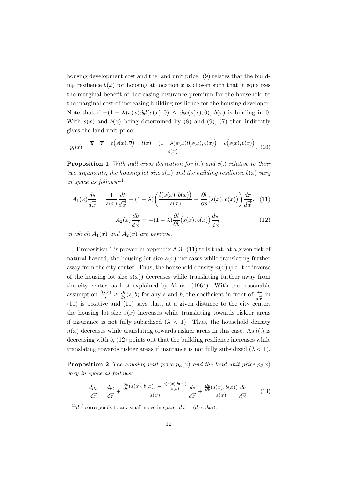housing development cost and the land unit price. (9) relates that the building resilience  $b(x)$  for housing at location x is chosen such that it equalizes the marginal benefit of decreasing insurance premium for the household to the marginal cost of increasing building resilience for the housing developer. Note that if  $-(1 - \lambda)\pi(x)\partial_b l(s(x),0) \leq \partial_b c(s(x),0)$ ,  $b(x)$  is binding in 0. With  $s(x)$  and  $b(x)$  being determined by (8) and (9), (7) then indirectly gives the land unit price:

$$
p_l(x) = \frac{\overline{y} - \overline{\tau} - \tilde{z}(s(x), \overline{v}) - t(x) - (1 - \lambda)\pi(x)l(s(x), b(x)) - c(s(x), b(x))}{s(x)}.
$$
 (10)

**Proposition 1** *With null cross derivation for l*(*.*) *and c*(*.*) *relative to their two arguments, the housing lot size*  $s(x)$  *and the building resilience*  $b(x)$  *vary in space as follows:*<sup>11</sup>

$$
A_1(x)\frac{ds}{d\vec{x}} = \frac{1}{s(x)}\frac{dt}{d\vec{x}} + (1-\lambda)\left(\frac{l(s(x),b(x))}{s(x)} - \frac{\partial l}{\partial s}(s(x),b(x))\right)\frac{d\pi}{d\vec{x}},\tag{11}
$$

$$
A_2(x)\frac{db}{d\vec{x}} = -(1-\lambda)\frac{\partial l}{\partial b}(s(x),b(x))\frac{d\pi}{d\vec{x}},\tag{12}
$$

*in which*  $A_1(x)$  *and*  $A_2(x)$  *are positive.* 

Proposition 1 is proved in appendix A.3. (11) tells that, at a given risk of natural hazard, the housing lot size  $s(x)$  increases while translating further away from the city center. Thus, the household density  $n(x)$  (i.e. the inverse of the housing lot size  $s(x)$ ) decreases while translating further away from the city center, as first explained by Alonso (1964). With the reasonable assumption  $\frac{l(s,b)}{s} \geq \frac{\partial l}{\partial s}(s,b)$  for any *s* and *b*, the coefficient in front of  $\frac{d\pi}{d\vec{x}}$  in (11) is positive and (11) says that, at a given distance to the city center, the housing lot size  $s(x)$  increases while translating towards riskier areas if insurance is not fully subsidized  $(\lambda < 1)$ . Thus, the household density  $n(x)$  decreases while translating towards riskier areas in this case. As  $l(.)$  is decreasing with *b*, (12) points out that the building resilience increases while translating towards riskier areas if insurance is not fully subsidized  $(\lambda < 1)$ .

**Proposition 2** *The housing unit price*  $p_h(x)$  *and the land unit price*  $p_l(x)$ *vary in space as follows:*

$$
\frac{dp_h}{d\vec{x}} = \frac{dp_l}{d\vec{x}} + \frac{\frac{\partial c}{\partial s}(s(x), b(x)) - \frac{c(s(x), b(x))}{s(x)}}{s(x)} \frac{ds}{d\vec{x}} + \frac{\frac{\partial c}{\partial b}(s(x), b(x))}{s(x)} \frac{db}{d\vec{x}},\tag{13}
$$

 $\frac{11}{d} \vec{x}$  corresponds to any small move in space:  $d\vec{x} = (dx_1, dx_2)$ .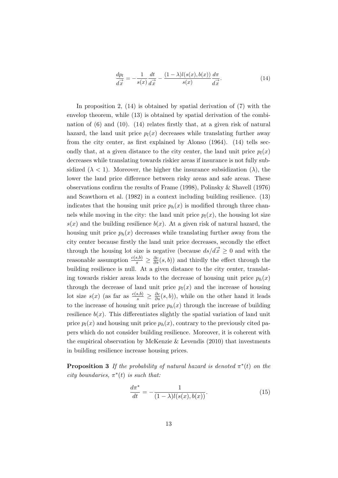$$
\frac{dp_l}{d\vec{x}} = -\frac{1}{s(x)}\frac{dt}{d\vec{x}} - \frac{(1-\lambda)l(s(x),b(x))}{s(x)}\frac{d\pi}{d\vec{x}}.\tag{14}
$$

In proposition 2,  $(14)$  is obtained by spatial derivation of  $(7)$  with the envelop theorem, while (13) is obtained by spatial derivation of the combination of  $(6)$  and  $(10)$ .  $(14)$  relates firstly that, at a given risk of natural hazard, the land unit price  $p_l(x)$  decreases while translating further away from the city center, as first explained by Alonso (1964). (14) tells secondly that, at a given distance to the city center, the land unit price  $p_l(x)$ decreases while translating towards riskier areas if insurance is not fully subsidized  $(\lambda < 1)$ . Moreover, the higher the insurance subsidization  $(\lambda)$ , the lower the land price difference between risky areas and safe areas. These observations confirm the results of Frame (1998), Polinsky & Shavell (1976) and Scawthorn et al. (1982) in a context including building resilience. (13) indicates that the housing unit price  $p_h(x)$  is modified through three channels while moving in the city: the land unit price  $p_l(x)$ , the housing lot size  $s(x)$  and the building resilience  $b(x)$ . At a given risk of natural hazard, the housing unit price  $p_h(x)$  decreases while translating further away from the city center because firstly the land unit price decreases, secondly the effect through the housing lot size is negative (because  $ds/d\vec{x} \geq 0$  and with the reasonable assumption  $\frac{c(s,b)}{s} \geq \frac{\partial c}{\partial s}(s,b)$  and thirdly the effect through the building resilience is null. At a given distance to the city center, translating towards riskier areas leads to the decrease of housing unit price  $p_h(x)$ through the decrease of land unit price  $p_l(x)$  and the increase of housing lot size  $s(x)$  (as far as  $\frac{c(s,b)}{s} \geq \frac{\partial c}{\partial s}(s,b)$ ), while on the other hand it leads to the increase of housing unit price  $p_h(x)$  through the increase of building resilience  $b(x)$ . This differentiates slightly the spatial variation of land unit price  $p_l(x)$  and housing unit price  $p_h(x)$ , contrary to the previously cited papers which do not consider building resilience. Moreover, it is coherent with the empirical observation by McKenzie  $&$  Levendis (2010) that investments in building resilience increase housing prices.

**Proposition 3** If the probability of natural hazard is denoted  $\pi^*(t)$  on the *city boundaries,*  $\pi^*(t)$  *is such that:* 

$$
\frac{d\pi^*}{dt} = -\frac{1}{(1-\lambda)l(s(x),b(x))}.
$$
\n(15)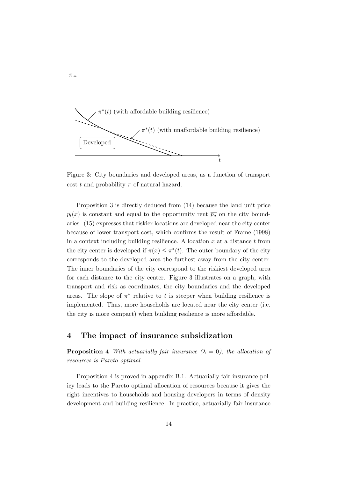

Figure 3: City boundaries and developed areas, as a function of transport cost *t* and probability  $\pi$  of natural hazard.

Proposition 3 is directly deduced from (14) because the land unit price  $p_l(x)$  is constant and equal to the opportunity rent  $\overline{p_a}$  on the city boundaries. (15) expresses that riskier locations are developed near the city center because of lower transport cost, which confirms the result of Frame (1998) in a context including building resilience. A location *x* at a distance *t* from the city center is developed if  $\pi(x) \leq \pi^*(t)$ . The outer boundary of the city corresponds to the developed area the furthest away from the city center. The inner boundaries of the city correspond to the riskiest developed area for each distance to the city center. Figure 3 illustrates on a graph, with transport and risk as coordinates, the city boundaries and the developed areas. The slope of  $\pi^*$  relative to *t* is steeper when building resilience is implemented. Thus, more households are located near the city center (i.e. the city is more compact) when building resilience is more affordable.

### **4 The impact of insurance subsidization**

**Proposition 4** *With actuarially fair insurance*  $(\lambda = 0)$ *, the allocation of resources is Pareto optimal.*

Proposition 4 is proved in appendix B.1. Actuarially fair insurance policy leads to the Pareto optimal allocation of resources because it gives the right incentives to households and housing developers in terms of density development and building resilience. In practice, actuarially fair insurance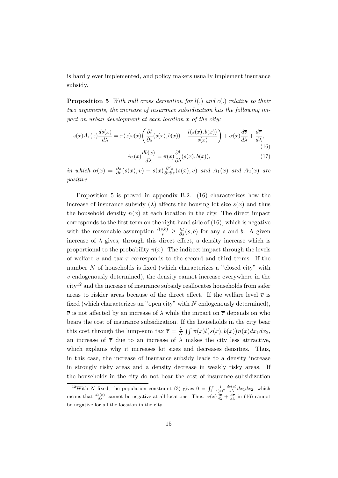is hardly ever implemented, and policy makers usually implement insurance subsidy.

**Proposition 5** *With null cross derivation for l*(*.*) *and c*(*.*) *relative to their two arguments, the increase of insurance subsidization has the following impact on urban development at each location x of the city:*

$$
s(x)A_1(x)\frac{ds(x)}{d\lambda} = \pi(x)s(x)\left(\frac{\partial l}{\partial s}(s(x), b(x)) - \frac{l(s(x), b(x))}{s(x)}\right) + \alpha(x)\frac{d\overline{v}}{d\lambda} + \frac{d\overline{\tau}}{d\lambda},\tag{16}
$$

$$
A_2(x)\frac{db(x)}{d\lambda} = \pi(x)\frac{\partial l}{\partial b}(s(x), b(x)),\tag{17}
$$

in which  $\alpha(x) = \frac{\partial \tilde{z}}{\partial v}(s(x), \overline{v}) - s(x)\frac{\partial^2 \tilde{z}}{\partial v \partial s}(s(x), \overline{v})$  and  $A_1(x)$  and  $A_2(x)$  are *positive.*

Proposition 5 is proved in appendix B.2. (16) characterizes how the increase of insurance subsidy ( $\lambda$ ) affects the housing lot size  $s(x)$  and thus the household density  $n(x)$  at each location in the city. The direct impact corresponds to the first term on the right-hand side of (16), which is negative with the reasonable assumption  $\frac{l(s,b)}{s} \geq \frac{\partial l}{\partial s}(s,b)$  for any *s* and *b*. A given increase of  $\lambda$  gives, through this direct effect, a density increase which is proportional to the probability  $\pi(x)$ . The indirect impact through the levels of welfare  $\bar{v}$  and tax  $\bar{\tau}$  corresponds to the second and third terms. If the number *N* of households is fixed (which characterizes a "closed city" with  $\bar{v}$  endogenously determined), the density cannot increase everywhere in the  $\text{city}^{12}$  and the increase of insurance subsidy reallocates households from safer areas to riskier areas because of the direct effect. If the welfare level  $\overline{v}$  is fixed (which characterizes an "open city" with *N* endogenously determined),  $\overline{v}$  is not affected by an increase of  $\lambda$  while the impact on  $\overline{\tau}$  depends on who bears the cost of insurance subsidization. If the households in the city bear this cost through the lump-sum tax  $\bar{\tau} = \frac{\lambda}{N}$  $\frac{\lambda}{N}$   $\iint \pi(x)l(s(x),b(x))n(x)dx_1dx_2$ , an increase of  $\bar{\tau}$  due to an increase of  $\lambda$  makes the city less attractive, which explains why it increases lot sizes and decreases densities. Thus, in this case, the increase of insurance subsidy leads to a density increase in strongly risky areas and a density decrease in weakly risky areas. If the households in the city do not bear the cost of insurance subsidization

<sup>&</sup>lt;sup>12</sup>With *N* fixed, the population constraint (3) gives  $0 = \iint \frac{1}{s(x)^2} \frac{ds(x)}{dx} dx_1 dx_2$ , which means that  $\frac{ds(x)}{d\lambda}$  cannot be negative at all locations. Thus,  $\alpha(x)\frac{d\overline{v}}{d\lambda} + \frac{d\overline{\tau}}{d\lambda}$  in (16) cannot be negative for all the location in the city.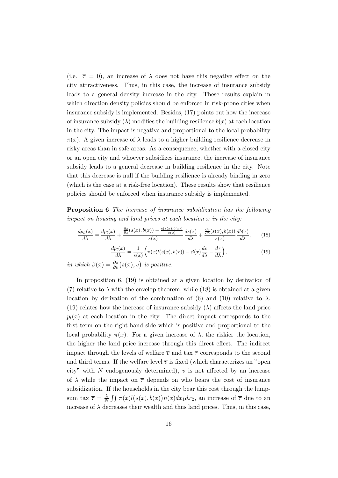(i.e.  $\bar{\tau} = 0$ ), an increase of  $\lambda$  does not have this negative effect on the city attractiveness. Thus, in this case, the increase of insurance subsidy leads to a general density increase in the city. These results explain in which direction density policies should be enforced in risk-prone cities when insurance subsidy is implemented. Besides, (17) points out how the increase of insurance subsidy  $(\lambda)$  modifies the building resilience  $b(x)$  at each location in the city. The impact is negative and proportional to the local probability *π*(*x*). A given increase of  $λ$  leads to a higher building resilience decrease in risky areas than in safe areas. As a consequence, whether with a closed city or an open city and whoever subsidizes insurance, the increase of insurance subsidy leads to a general decrease in building resilience in the city. Note that this decrease is null if the building resilience is already binding in zero (which is the case at a risk-free location). These results show that resilience policies should be enforced when insurance subsidy is implemented.

**Proposition 6** *The increase of insurance subsidization has the following impact on housing and land prices at each location x in the city:*

$$
\frac{dp_h(x)}{d\lambda} = \frac{dp_l(x)}{d\lambda} + \frac{\frac{\partial c}{\partial s}(s(x), b(x)) - \frac{c(s(x), b(x))}{s(x)}}{s(x)} \frac{ds(x)}{d\lambda} + \frac{\frac{\partial c}{\partial b}(s(x), b(x))}{s(x)} \frac{db(x)}{d\lambda},\tag{18}
$$

$$
\frac{dp_l(x)}{d\lambda} = \frac{1}{s(x)} \left( \pi(x)l(s(x), b(x)) - \beta(x)\frac{d\overline{v}}{d\lambda} - \frac{d\overline{\tau}}{d\lambda} \right),\tag{19}
$$

*in which*  $\beta(x) = \frac{\partial \tilde{z}}{\partial v}(s(x), \overline{v})$  *is positive.* 

In proposition 6, (19) is obtained at a given location by derivation of (7) relative to  $\lambda$  with the envelop theorem, while (18) is obtained at a given location by derivation of the combination of (6) and (10) relative to  $\lambda$ . (19) relates how the increase of insurance subsidy  $(\lambda)$  affects the land price  $p_l(x)$  at each location in the city. The direct impact corresponds to the first term on the right-hand side which is positive and proportional to the local probability  $π(x)$ . For a given increase of  $λ$ , the riskier the location, the higher the land price increase through this direct effect. The indirect impact through the levels of welfare  $\bar{v}$  and tax  $\bar{\tau}$  corresponds to the second and third terms. If the welfare level  $\bar{v}$  is fixed (which characterizes an "open city" with *N* endogenously determined),  $\bar{v}$  is not affected by an increase of  $\lambda$  while the impact on  $\bar{\tau}$  depends on who bears the cost of insurance subsidization. If the households in the city bear this cost through the lumpsum tax  $\overline{\tau} = \frac{\lambda}{N}$  $\frac{\lambda}{N}$   $\iint \pi(x)l(s(x),b(x))n(x)dx_1dx_2$ , an increase of  $\overline{\tau}$  due to an increase of  $\lambda$  decreases their wealth and thus land prices. Thus, in this case,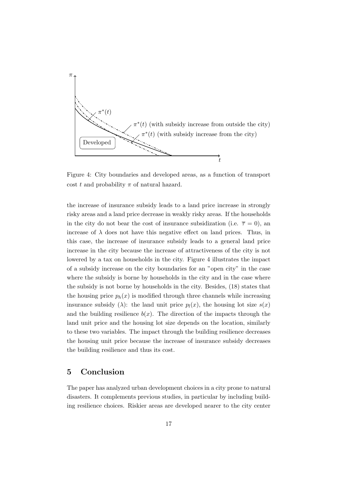

Figure 4: City boundaries and developed areas, as a function of transport cost *t* and probability  $\pi$  of natural hazard.

the increase of insurance subsidy leads to a land price increase in strongly risky areas and a land price decrease in weakly risky areas. If the households in the city do not bear the cost of insurance subsidization (i.e.  $\bar{\tau} = 0$ ), an increase of  $\lambda$  does not have this negative effect on land prices. Thus, in this case, the increase of insurance subsidy leads to a general land price increase in the city because the increase of attractiveness of the city is not lowered by a tax on households in the city. Figure 4 illustrates the impact of a subsidy increase on the city boundaries for an "open city" in the case where the subsidy is borne by households in the city and in the case where the subsidy is not borne by households in the city. Besides, (18) states that the housing price  $p_h(x)$  is modified through three channels while increasing insurance subsidy ( $\lambda$ ): the land unit price  $p_l(x)$ , the housing lot size  $s(x)$ and the building resilience  $b(x)$ . The direction of the impacts through the land unit price and the housing lot size depends on the location, similarly to these two variables. The impact through the building resilience decreases the housing unit price because the increase of insurance subsidy decreases the building resilience and thus its cost.

## **5 Conclusion**

The paper has analyzed urban development choices in a city prone to natural disasters. It complements previous studies, in particular by including building resilience choices. Riskier areas are developed nearer to the city center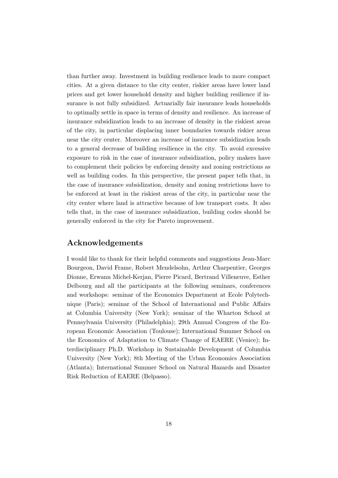than further away. Investment in building resilience leads to more compact cities. At a given distance to the city center, riskier areas have lower land prices and get lower household density and higher building resilience if insurance is not fully subsidized. Actuarially fair insurance leads households to optimally settle in space in terms of density and resilience. An increase of insurance subsidization leads to an increase of density in the riskiest areas of the city, in particular displacing inner boundaries towards riskier areas near the city center. Moreover an increase of insurance subsidization leads to a general decrease of building resilience in the city. To avoid excessive exposure to risk in the case of insurance subsidization, policy makers have to complement their policies by enforcing density and zoning restrictions as well as building codes. In this perspective, the present paper tells that, in the case of insurance subsidization, density and zoning restrictions have to be enforced at least in the riskiest areas of the city, in particular near the city center where land is attractive because of low transport costs. It also tells that, in the case of insurance subsidization, building codes should be generally enforced in the city for Pareto improvement.

## **Acknowledgements**

I would like to thank for their helpful comments and suggestions Jean-Marc Bourgeon, David Frame, Robert Mendelsohn, Arthur Charpentier, Georges Dionne, Erwann Michel-Kerjan, Pierre Picard, Bertrand Villeneuve, Esther Delbourg and all the participants at the following seminars, conferences and workshops: seminar of the Economics Department at Ecole Polytechnique (Paris); seminar of the School of International and Public Affairs at Columbia University (New York); seminar of the Wharton School at Pennsylvania University (Philadelphia); 29th Annual Congress of the European Economic Association (Toulouse); International Summer School on the Economics of Adaptation to Climate Change of EAERE (Venice); Interdisciplinary Ph.D. Workshop in Sustainable Development of Columbia University (New York); 8th Meeting of the Urban Economics Association (Atlanta); International Summer School on Natural Hazards and Disaster Risk Reduction of EAERE (Belpasso).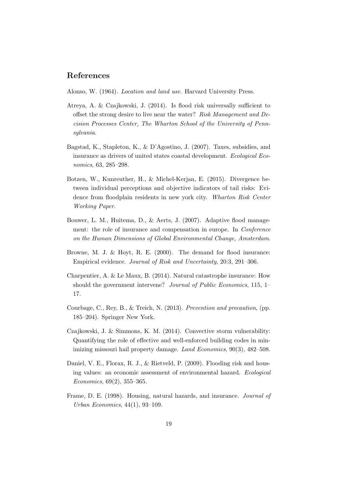#### **References**

Alonso, W. (1964). *Location and land use*. Harvard University Press.

- Atreya, A. & Czajkowski, J. (2014). Is flood risk universally sufficient to offset the strong desire to live near the water? *Risk Management and Decision Processes Center, The Wharton School of the University of Pennsylvania*.
- Bagstad, K., Stapleton, K., & D'Agostino, J. (2007). Taxes, subsidies, and insurance as drivers of united states coastal development. *Ecological Economics*, 63, 285–298.
- Botzen, W., Kunreuther, H., & Michel-Kerjan, E. (2015). Divergence between individual perceptions and objective indicators of tail risks: Evidence from floodplain residents in new york city. *Wharton Risk Center Working Paper*.
- Bouwer, L. M., Huitema, D., & Aerts, J. (2007). Adaptive flood management: the role of insurance and compensation in europe. In *Conference on the Human Dimensions of Global Environmental Change, Amsterdam*.
- Browne, M. J. & Hoyt, R. E. (2000). The demand for flood insurance: Empirical evidence. *Journal of Risk and Uncertainty*, 20:3, 291–306.
- Charpentier, A. & Le Maux, B. (2014). Natural catastrophe insurance: How should the government intervene? *Journal of Public Economics*, 115, 1– 17.
- Courbage, C., Rey, B., & Treich, N. (2013). *Prevention and precaution*, (pp. 185–204). Springer New York.
- Czajkowski, J. & Simmons, K. M. (2014). Convective storm vulnerability: Quantifying the role of effective and well-enforced building codes in minimizing missouri hail property damage. *Land Economics*, 90(3), 482–508.
- Daniel, V. E., Florax, R. J., & Rietveld, P. (2009). Flooding risk and housing values: an economic assessment of environmental hazard. *Ecological Economics*, 69(2), 355–365.
- Frame, D. E. (1998). Housing, natural hazards, and insurance. *Journal of Urban Economics*, 44(1), 93–109.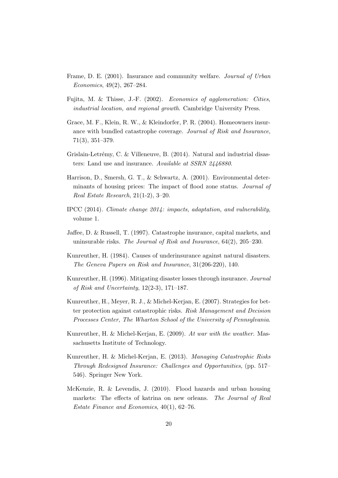- Frame, D. E. (2001). Insurance and community welfare. *Journal of Urban Economics*, 49(2), 267–284.
- Fujita, M. & Thisse, J.-F. (2002). *Economics of agglomeration: Cities, industrial location, and regional growth*. Cambridge University Press.
- Grace, M. F., Klein, R. W., & Kleindorfer, P. R. (2004). Homeowners insurance with bundled catastrophe coverage. *Journal of Risk and Insurance*, 71(3), 351–379.
- Grislain-Letrémy, C. & Villeneuve, B. (2014). Natural and industrial disasters: Land use and insurance. *Available at SSRN 2446880*.
- Harrison, D., Smersh, G. T., & Schwartz, A. (2001). Environmental determinants of housing prices: The impact of flood zone status. *Journal of Real Estate Research*, 21(1-2), 3–20.
- IPCC (2014). *Climate change 2014: impacts, adaptation, and vulnerability*, volume 1.
- Jaffee, D. & Russell, T. (1997). Catastrophe insurance, capital markets, and uninsurable risks. *The Journal of Risk and Insurance*, 64(2), 205–230.
- Kunreuther, H. (1984). Causes of underinsurance against natural disasters. *The Geneva Papers on Risk and Insurance*, 31(206-220), 140.
- Kunreuther, H. (1996). Mitigating disaster losses through insurance. *Journal of Risk and Uncertainty*, 12(2-3), 171–187.
- Kunreuther, H., Meyer, R. J., & Michel-Kerjan, E. (2007). Strategies for better protection against catastrophic risks. *Risk Management and Decision Processes Center, The Wharton School of the University of Pennsylvania*.
- Kunreuther, H. & Michel-Kerjan, E. (2009). *At war with the weather*. Massachusetts Institute of Technology.
- Kunreuther, H. & Michel-Kerjan, E. (2013). *Managing Catastrophic Risks Through Redesigned Insurance: Challenges and Opportunities*, (pp. 517– 546). Springer New York.
- McKenzie, R. & Levendis, J. (2010). Flood hazards and urban housing markets: The effects of katrina on new orleans. *The Journal of Real Estate Finance and Economics*, 40(1), 62–76.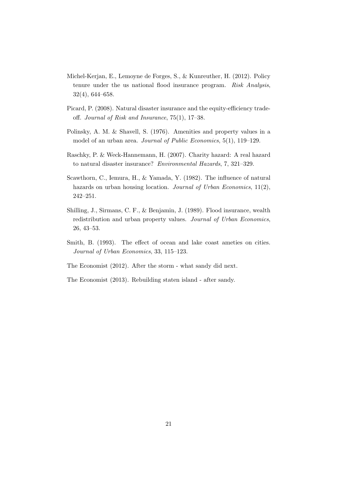- Michel-Kerjan, E., Lemoyne de Forges, S., & Kunreuther, H. (2012). Policy tenure under the us national flood insurance program. *Risk Analysis*, 32(4), 644–658.
- Picard, P. (2008). Natural disaster insurance and the equity-efficiency tradeoff. *Journal of Risk and Insurance*, 75(1), 17–38.
- Polinsky, A. M. & Shavell, S. (1976). Amenities and property values in a model of an urban area. *Journal of Public Economics*, 5(1), 119–129.
- Raschky, P. & Weck-Hannemann, H. (2007). Charity hazard: A real hazard to natural disaster insurance? *Environmental Hazards*, 7, 321–329.
- Scawthorn, C., Iemura, H., & Yamada, Y. (1982). The influence of natural hazards on urban housing location. *Journal of Urban Economics*, 11(2), 242–251.
- Shilling, J., Sirmans, C. F., & Benjamin, J. (1989). Flood insurance, wealth redistribution and urban property values. *Journal of Urban Economics*, 26, 43–53.
- Smith, B. (1993). The effect of ocean and lake coast ameties on cities. *Journal of Urban Economics*, 33, 115–123.
- The Economist (2012). After the storm what sandy did next.
- The Economist (2013). Rebuilding staten island after sandy.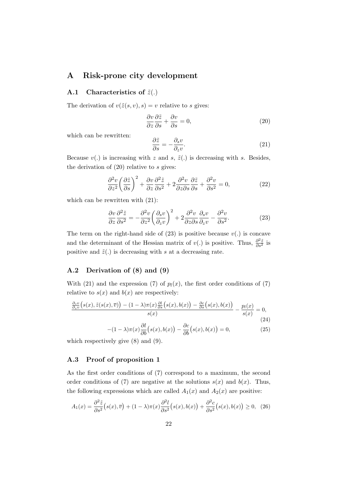### **A Risk-prone city development**

#### **A.1** Characteristics of  $\tilde{z}(.)$

The derivation of  $v(\tilde{z}(s, v), s) = v$  relative to *s* gives:

$$
\frac{\partial v}{\partial z}\frac{\partial \tilde{z}}{\partial s} + \frac{\partial v}{\partial s} = 0, \tag{20}
$$

which can be rewritten:

$$
\frac{\partial \tilde{z}}{\partial s} = -\frac{\partial_s v}{\partial_z v}.\tag{21}
$$

Because  $v(.)$  is increasing with *z* and *s*,  $\tilde{z}(.)$  is decreasing with *s*. Besides, the derivation of (20) relative to *s* gives:

$$
\frac{\partial^2 v}{\partial z^2} \left( \frac{\partial \tilde{z}}{\partial s} \right)^2 + \frac{\partial v}{\partial z} \frac{\partial^2 \tilde{z}}{\partial s^2} + 2 \frac{\partial^2 v}{\partial z \partial s} \frac{\partial \tilde{z}}{\partial s} + \frac{\partial^2 v}{\partial s^2} = 0, \tag{22}
$$

which can be rewritten with (21):

$$
\frac{\partial v}{\partial z}\frac{\partial^2 \tilde{z}}{\partial s^2} = -\frac{\partial^2 v}{\partial z^2} \left(\frac{\partial_s v}{\partial_z v}\right)^2 + 2\frac{\partial^2 v}{\partial z \partial s}\frac{\partial_s v}{\partial_z v} - \frac{\partial^2 v}{\partial s^2}.
$$
(23)

The term on the right-hand side of  $(23)$  is positive because  $v(.)$  is concave and the determinant of the Hessian matrix of *v*(*.*) is positive. Thus,  $\frac{\partial^2 \tilde{z}}{\partial s^2}$  is positive and  $\tilde{z}(.)$  is decreasing with *s* at a decreasing rate.

#### **A.2 Derivation of (8) and (9)**

With (21) and the expression (7) of  $p_l(x)$ , the first order conditions of (7) relative to  $s(x)$  and  $b(x)$  are respectively:

$$
\frac{\partial_s v}{\partial_z v} \left( s(x), \tilde{z}(s(x), \overline{v}) \right) - (1 - \lambda) \pi(x) \frac{\partial l}{\partial s} \left( s(x), b(x) \right) - \frac{\partial c}{\partial s} \left( s(x), b(x) \right)}{s(x)} - \frac{p_l(x)}{s(x)} = 0,
$$
\n(24)

$$
-(1 - \lambda)\pi(x)\frac{\partial l}{\partial b}(s(x), b(x)) - \frac{\partial c}{\partial b}(s(x), b(x)) = 0,
$$
\n(25)

which respectively give (8) and (9).

#### **A.3 Proof of proposition 1**

As the first order conditions of (7) correspond to a maximum, the second order conditions of (7) are negative at the solutions  $s(x)$  and  $b(x)$ . Thus, the following expressions which are called  $A_1(x)$  and  $A_2(x)$  are positive:

$$
A_1(x) = \frac{\partial^2 \tilde{z}}{\partial s^2} \left( s(x), \overline{v} \right) + (1 - \lambda) \pi(x) \frac{\partial^2 l}{\partial s^2} \left( s(x), b(x) \right) + \frac{\partial^2 c}{\partial s^2} \left( s(x), b(x) \right) \ge 0, \tag{26}
$$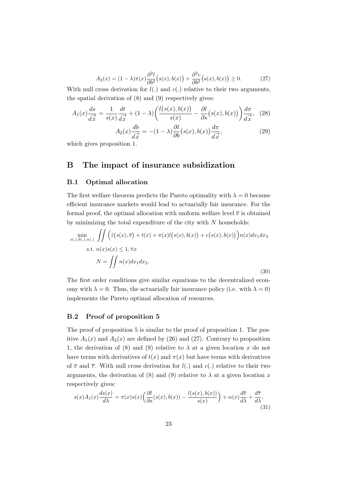$$
A_2(x) = (1 - \lambda)\pi(x)\frac{\partial^2 l}{\partial b^2}(s(x), b(x)) + \frac{\partial^2 c}{\partial b^2}(s(x), b(x)) \ge 0.
$$
 (27)

With null cross derivation for  $l(.)$  and  $c(.)$  relative to their two arguments, the spatial derivation of (8) and (9) respectively gives:

$$
A_1(x)\frac{ds}{d\vec{x}} = \frac{1}{s(x)}\frac{dt}{d\vec{x}} + (1-\lambda)\left(\frac{l(s(x),b(x))}{s(x)} - \frac{\partial l}{\partial s}(s(x),b(x))\right)\frac{d\pi}{d\vec{x}},\tag{28}
$$

$$
A_2(x)\frac{db}{d\vec{x}} = -(1-\lambda)\frac{\partial l}{\partial b}(s(x),b(x))\frac{d\pi}{d\vec{x}},\tag{29}
$$

which gives proposition 1.

## **B The impact of insurance subsidization**

#### **B.1 Optimal allocation**

The first welfare theorem predicts the Pareto optimality with  $\lambda = 0$  because efficient insurance markets would lead to actuarially fair insurance. For the formal proof, the optimal allocation with uniform welfare level  $\overline{v}$  is obtained by minimizing the total expenditure of the city with *N* households:

$$
\min_{s(.), b(.), n(.)} \iint \left( \tilde{z}(s(x), \overline{v}) + t(x) + \pi(x)l(s(x), b(x)) + c(s(x), b(x)) \right) n(x) dx_1 dx_2
$$
  
s.t.  $n(x)s(x) \le 1, \forall x$   

$$
N = \iint n(x) dx_1 dx_2.
$$
 (30)

The first order conditions give similar equations to the decentralized economy with  $\lambda = 0$ . Thus, the actuarially fair insurance policy (i.e. with  $\lambda = 0$ ) implements the Pareto optimal allocation of resources.

#### **B.2 Proof of proposition 5**

The proof of proposition 5 is similar to the proof of proposition 1. The positive  $A_1(x)$  and  $A_2(x)$  are defined by (26) and (27). Contrary to proposition 1, the derivation of (8) and (9) relative to  $\lambda$  at a given location *x* do not have terms with derivatives of  $t(x)$  and  $\pi(x)$  but have terms with derivatives of  $\overline{v}$  and  $\overline{\tau}$ . With null cross derivation for  $l(.)$  and  $c(.)$  relative to their two arguments, the derivation of (8) and (9) relative to  $\lambda$  at a given location *x* respectively gives:

$$
s(x)A_1(x)\frac{ds(x)}{d\lambda} = \pi(x)s(x)\left(\frac{\partial l}{\partial s}(s(x), b(x)) - \frac{l(s(x), b(x))}{s(x)}\right) + \alpha(x)\frac{d\overline{v}}{d\lambda} + \frac{d\overline{\tau}}{d\lambda},\tag{31}
$$